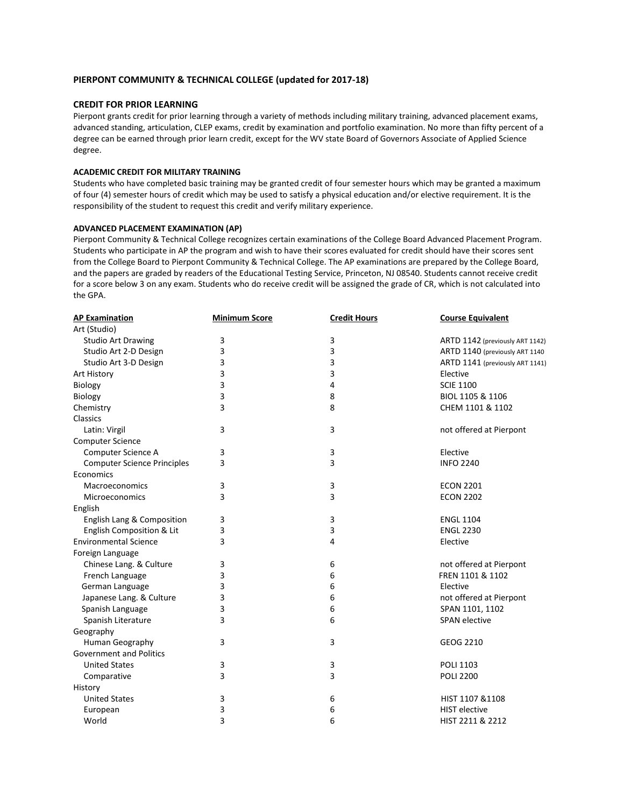## **PIERPONT COMMUNITY & TECHNICAL COLLEGE (updated for 2017-18)**

## **CREDIT FOR PRIOR LEARNING**

Pierpont grants credit for prior learning through a variety of methods including military training, advanced placement exams, advanced standing, articulation, CLEP exams, credit by examination and portfolio examination. No more than fifty percent of a degree can be earned through prior learn credit, except for the WV state Board of Governors Associate of Applied Science degree.

### **ACADEMIC CREDIT FOR MILITARY TRAINING**

Students who have completed basic training may be granted credit of four semester hours which may be granted a maximum of four (4) semester hours of credit which may be used to satisfy a physical education and/or elective requirement. It is the responsibility of the student to request this credit and verify military experience.

### **ADVANCED PLACEMENT EXAMINATION (AP)**

Pierpont Community & Technical College recognizes certain examinations of the College Board Advanced Placement Program. Students who participate in AP the program and wish to have their scores evaluated for credit should have their scores sent from the College Board to Pierpont Community & Technical College. The AP examinations are prepared by the College Board, and the papers are graded by readers of the Educational Testing Service, Princeton, NJ 08540. Students cannot receive credit for a score below 3 on any exam. Students who do receive credit will be assigned the grade of CR, which is not calculated into the GPA.

| <b>AP Examination</b>              | <b>Minimum Score</b> | <b>Credit Hours</b> | <b>Course Equivalent</b>        |
|------------------------------------|----------------------|---------------------|---------------------------------|
| Art (Studio)                       |                      |                     |                                 |
| <b>Studio Art Drawing</b>          | 3                    | 3                   | ARTD 1142 (previously ART 1142) |
| Studio Art 2-D Design              | 3                    | 3                   | ARTD 1140 (previously ART 1140) |
| Studio Art 3-D Design              | 3                    | 3                   | ARTD 1141 (previously ART 1141) |
| Art History                        | 3                    | 3                   | Elective                        |
| Biology                            | 3                    | 4                   | <b>SCIE 1100</b>                |
| Biology                            | 3                    | 8                   | BIOL 1105 & 1106                |
| Chemistry                          | 3                    | 8                   | CHEM 1101 & 1102                |
| Classics                           |                      |                     |                                 |
| Latin: Virgil                      | 3                    | 3                   | not offered at Pierpont         |
| <b>Computer Science</b>            |                      |                     |                                 |
| Computer Science A                 | 3                    | 3                   | Elective                        |
| <b>Computer Science Principles</b> | 3                    | 3                   | <b>INFO 2240</b>                |
| Economics                          |                      |                     |                                 |
| Macroeconomics                     | 3                    | 3                   | <b>ECON 2201</b>                |
| Microeconomics                     | 3                    | 3                   | <b>ECON 2202</b>                |
| English                            |                      |                     |                                 |
| English Lang & Composition         | 3                    | 3                   | <b>ENGL 1104</b>                |
| English Composition & Lit          | 3                    | 3                   | <b>ENGL 2230</b>                |
| <b>Environmental Science</b>       | 3                    | 4                   | Elective                        |
| Foreign Language                   |                      |                     |                                 |
| Chinese Lang. & Culture            | 3                    | 6                   | not offered at Pierpont         |
| French Language                    | 3                    | 6                   | FREN 1101 & 1102                |
| German Language                    | 3                    | 6                   | Elective                        |
| Japanese Lang. & Culture           | 3                    | 6                   | not offered at Pierpont         |
| Spanish Language                   | 3                    | 6                   | SPAN 1101, 1102                 |
| Spanish Literature                 | 3                    | 6                   | <b>SPAN</b> elective            |
| Geography                          |                      |                     |                                 |
| Human Geography                    | 3                    | 3                   | GEOG 2210                       |
| <b>Government and Politics</b>     |                      |                     |                                 |
| <b>United States</b>               | 3                    | 3                   | <b>POLI 1103</b>                |
| Comparative                        | 3                    | 3                   | <b>POLI 2200</b>                |
| History                            |                      |                     |                                 |
| <b>United States</b>               | 3                    | 6                   | HIST 1107 & 1108                |
| European                           | 3                    | 6                   | <b>HIST</b> elective            |
| World                              | 3                    | 6                   | HIST 2211 & 2212                |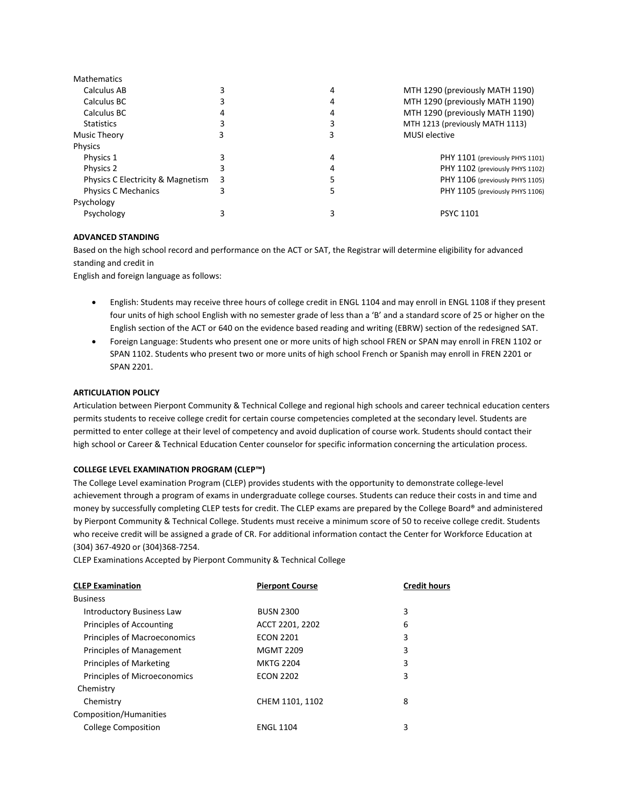| iviathematics                     |   |   |                                 |
|-----------------------------------|---|---|---------------------------------|
| Calculus AB                       |   | 4 | MTH 1290 (previously MATH 1190) |
| Calculus BC                       |   | 4 | MTH 1290 (previously MATH 1190) |
| Calculus BC                       |   | 4 | MTH 1290 (previously MATH 1190) |
| <b>Statistics</b>                 |   |   | MTH 1213 (previously MATH 1113) |
| Music Theory                      |   |   | <b>MUSI</b> elective            |
| <b>Physics</b>                    |   |   |                                 |
| Physics 1                         |   | 4 | PHY 1101 (previously PHYS 1101) |
| Physics 2                         |   |   | PHY 1102 (previously PHYS 1102) |
| Physics C Electricity & Magnetism | 3 |   | PHY 1106 (previously PHYS 1105) |
| Physics C Mechanics               |   |   | PHY 1105 (previously PHYS 1106) |
| Psychology                        |   |   |                                 |
| Psychology                        |   |   | <b>PSYC 1101</b>                |
|                                   |   |   |                                 |

## **ADVANCED STANDING**

Mathematics

Based on the high school record and performance on the ACT or SAT, the Registrar will determine eligibility for advanced standing and credit in

English and foreign language as follows:

- English: Students may receive three hours of college credit in ENGL 1104 and may enroll in ENGL 1108 if they present four units of high school English with no semester grade of less than a 'B' and a standard score of 25 or higher on the English section of the ACT or 640 on the evidence based reading and writing (EBRW) section of the redesigned SAT.
- Foreign Language: Students who present one or more units of high school FREN or SPAN may enroll in FREN 1102 or SPAN 1102. Students who present two or more units of high school French or Spanish may enroll in FREN 2201 or SPAN 2201.

## **ARTICULATION POLICY**

Articulation between Pierpont Community & Technical College and regional high schools and career technical education centers permits students to receive college credit for certain course competencies completed at the secondary level. Students are permitted to enter college at their level of competency and avoid duplication of course work. Students should contact their high school or Career & Technical Education Center counselor for specific information concerning the articulation process.

## **COLLEGE LEVEL EXAMINATION PROGRAM (CLEP™)**

The College Level examination Program (CLEP) provides students with the opportunity to demonstrate college-level achievement through a program of exams in undergraduate college courses. Students can reduce their costs in and time and money by successfully completing CLEP tests for credit. The CLEP exams are prepared by the College Board® and administered by Pierpont Community & Technical College. Students must receive a minimum score of 50 to receive college credit. Students who receive credit will be assigned a grade of CR. For additional information contact the Center for Workforce Education at (304) 367-4920 or (304)368-7254.

CLEP Examinations Accepted by Pierpont Community & Technical College

| <b>CLEP Examination</b>          | <b>Pierpont Course</b> | <b>Credit hours</b> |
|----------------------------------|------------------------|---------------------|
| <b>Business</b>                  |                        |                     |
| <b>Introductory Business Law</b> | <b>BUSN 2300</b>       | 3                   |
| Principles of Accounting         | ACCT 2201, 2202        | 6                   |
| Principles of Macroeconomics     | <b>ECON 2201</b>       | 3                   |
| <b>Principles of Management</b>  | <b>MGMT 2209</b>       | 3                   |
| Principles of Marketing          | <b>MKTG 2204</b>       | 3                   |
| Principles of Microeconomics     | <b>ECON 2202</b>       | 3                   |
| Chemistry                        |                        |                     |
| Chemistry                        | CHEM 1101, 1102        | 8                   |
| Composition/Humanities           |                        |                     |
| <b>College Composition</b>       | <b>ENGL 1104</b>       | 3                   |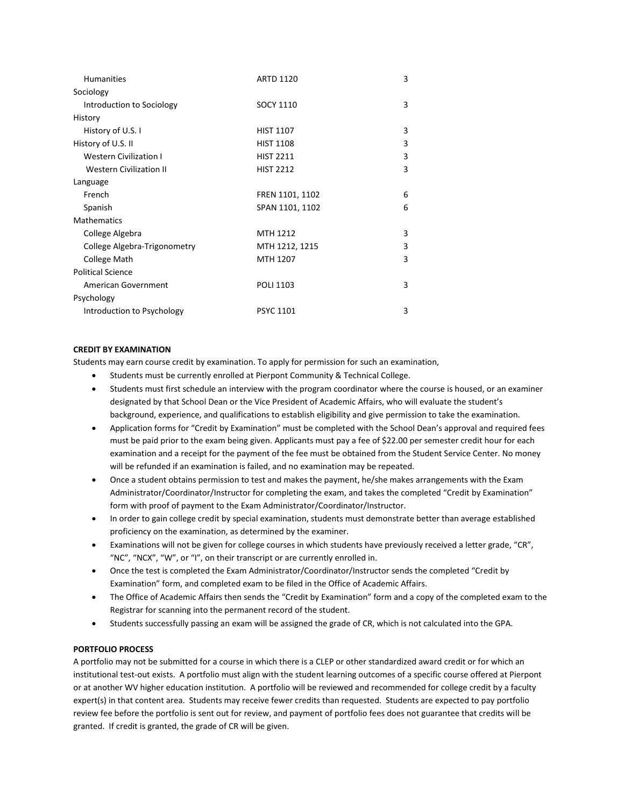| <b>Humanities</b>              | <b>ARTD 1120</b> | 3 |
|--------------------------------|------------------|---|
| Sociology                      |                  |   |
| Introduction to Sociology      | <b>SOCY 1110</b> | 3 |
| History                        |                  |   |
| History of U.S. I              | <b>HIST 1107</b> | 3 |
| History of U.S. II             | <b>HIST 1108</b> | 3 |
| <b>Western Civilization I</b>  | <b>HIST 2211</b> | 3 |
| <b>Western Civilization II</b> | <b>HIST 2212</b> | 3 |
| Language                       |                  |   |
| French                         | FREN 1101, 1102  | 6 |
| Spanish                        | SPAN 1101, 1102  | 6 |
| <b>Mathematics</b>             |                  |   |
| College Algebra                | MTH 1212         | 3 |
| College Algebra-Trigonometry   | MTH 1212, 1215   | 3 |
| College Math                   | MTH 1207         | 3 |
| <b>Political Science</b>       |                  |   |
| American Government            | POLI 1103        | 3 |
| Psychology                     |                  |   |
| Introduction to Psychology     | <b>PSYC 1101</b> | 3 |

## **CREDIT BY EXAMINATION**

Students may earn course credit by examination. To apply for permission for such an examination,

- Students must be currently enrolled at Pierpont Community & Technical College.
- Students must first schedule an interview with the program coordinator where the course is housed, or an examiner designated by that School Dean or the Vice President of Academic Affairs, who will evaluate the student's background, experience, and qualifications to establish eligibility and give permission to take the examination.
- Application forms for "Credit by Examination" must be completed with the School Dean's approval and required fees must be paid prior to the exam being given. Applicants must pay a fee of \$22.00 per semester credit hour for each examination and a receipt for the payment of the fee must be obtained from the Student Service Center. No money will be refunded if an examination is failed, and no examination may be repeated.
- Once a student obtains permission to test and makes the payment, he/she makes arrangements with the Exam Administrator/Coordinator/Instructor for completing the exam, and takes the completed "Credit by Examination" form with proof of payment to the Exam Administrator/Coordinator/Instructor.
- In order to gain college credit by special examination, students must demonstrate better than average established proficiency on the examination, as determined by the examiner.
- Examinations will not be given for college courses in which students have previously received a letter grade, "CR", "NC", "NCX", "W", or "I", on their transcript or are currently enrolled in.
- Once the test is completed the Exam Administrator/Coordinator/Instructor sends the completed "Credit by Examination" form, and completed exam to be filed in the Office of Academic Affairs.
- The Office of Academic Affairs then sends the "Credit by Examination" form and a copy of the completed exam to the Registrar for scanning into the permanent record of the student.
- Students successfully passing an exam will be assigned the grade of CR, which is not calculated into the GPA.

## **PORTFOLIO PROCESS**

A portfolio may not be submitted for a course in which there is a CLEP or other standardized award credit or for which an institutional test-out exists. A portfolio must align with the student learning outcomes of a specific course offered at Pierpont or at another WV higher education institution. A portfolio will be reviewed and recommended for college credit by a faculty expert(s) in that content area. Students may receive fewer credits than requested. Students are expected to pay portfolio review fee before the portfolio is sent out for review, and payment of portfolio fees does not guarantee that credits will be granted. If credit is granted, the grade of CR will be given.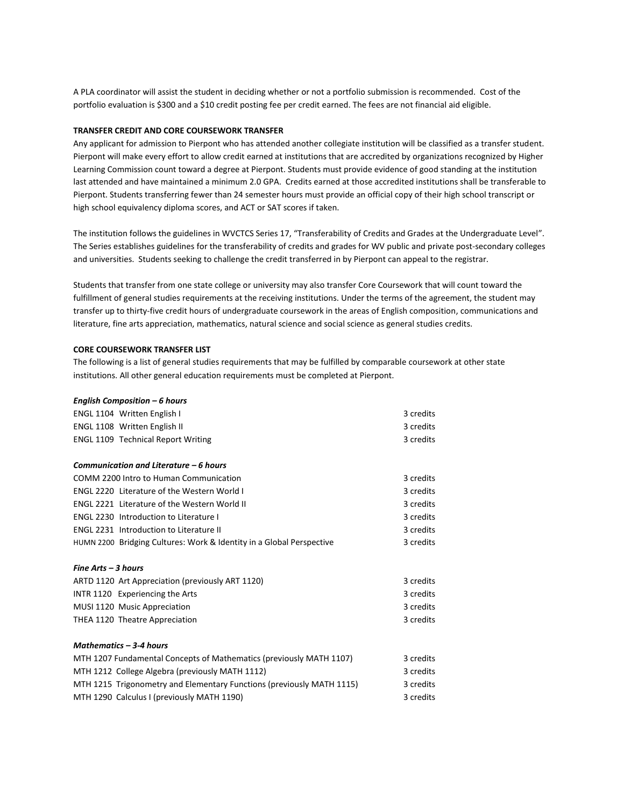A PLA coordinator will assist the student in deciding whether or not a portfolio submission is recommended. Cost of the portfolio evaluation is \$300 and a \$10 credit posting fee per credit earned. The fees are not financial aid eligible.

### **TRANSFER CREDIT AND CORE COURSEWORK TRANSFER**

Any applicant for admission to Pierpont who has attended another collegiate institution will be classified as a transfer student. Pierpont will make every effort to allow credit earned at institutions that are accredited by organizations recognized by Higher Learning Commission count toward a degree at Pierpont. Students must provide evidence of good standing at the institution last attended and have maintained a minimum 2.0 GPA. Credits earned at those accredited institutions shall be transferable to Pierpont. Students transferring fewer than 24 semester hours must provide an official copy of their high school transcript or high school equivalency diploma scores, and ACT or SAT scores if taken.

The institution follows the guidelines in WVCTCS Series 17, "Transferability of Credits and Grades at the Undergraduate Level". The Series establishes guidelines for the transferability of credits and grades for WV public and private post-secondary colleges and universities. Students seeking to challenge the credit transferred in by Pierpont can appeal to the registrar.

Students that transfer from one state college or university may also transfer Core Coursework that will count toward the fulfillment of general studies requirements at the receiving institutions. Under the terms of the agreement, the student may transfer up to thirty-five credit hours of undergraduate coursework in the areas of English composition, communications and literature, fine arts appreciation, mathematics, natural science and social science as general studies credits.

### **CORE COURSEWORK TRANSFER LIST**

The following is a list of general studies requirements that may be fulfilled by comparable coursework at other state institutions. All other general education requirements must be completed at Pierpont.

| English Composition $-6$ hours                                        |           |
|-----------------------------------------------------------------------|-----------|
| ENGL 1104 Written English I                                           | 3 credits |
| <b>ENGL 1108 Written English II</b>                                   | 3 credits |
| <b>ENGL 1109 Technical Report Writing</b>                             | 3 credits |
|                                                                       |           |
| Communication and Literature – 6 hours                                |           |
| COMM 2200 Intro to Human Communication                                | 3 credits |
| ENGL 2220 Literature of the Western World I                           | 3 credits |
| <b>ENGL 2221 Literature of the Western World II</b>                   | 3 credits |
| <b>ENGL 2230 Introduction to Literature I</b>                         | 3 credits |
| <b>ENGL 2231 Introduction to Literature II</b>                        | 3 credits |
| HUMN 2200 Bridging Cultures: Work & Identity in a Global Perspective  | 3 credits |
|                                                                       |           |
| Fine $Arts - 3$ hours                                                 |           |
| ARTD 1120 Art Appreciation (previously ART 1120)                      | 3 credits |
| INTR 1120 Experiencing the Arts                                       | 3 credits |
| MUSI 1120 Music Appreciation                                          | 3 credits |
| THEA 1120 Theatre Appreciation                                        | 3 credits |
|                                                                       |           |
| Mathematics - 3-4 hours                                               |           |
| MTH 1207 Fundamental Concepts of Mathematics (previously MATH 1107)   | 3 credits |
| MTH 1212 College Algebra (previously MATH 1112)                       | 3 credits |
| MTH 1215 Trigonometry and Elementary Functions (previously MATH 1115) | 3 credits |
| MTH 1290 Calculus I (previously MATH 1190)                            | 3 credits |
|                                                                       |           |